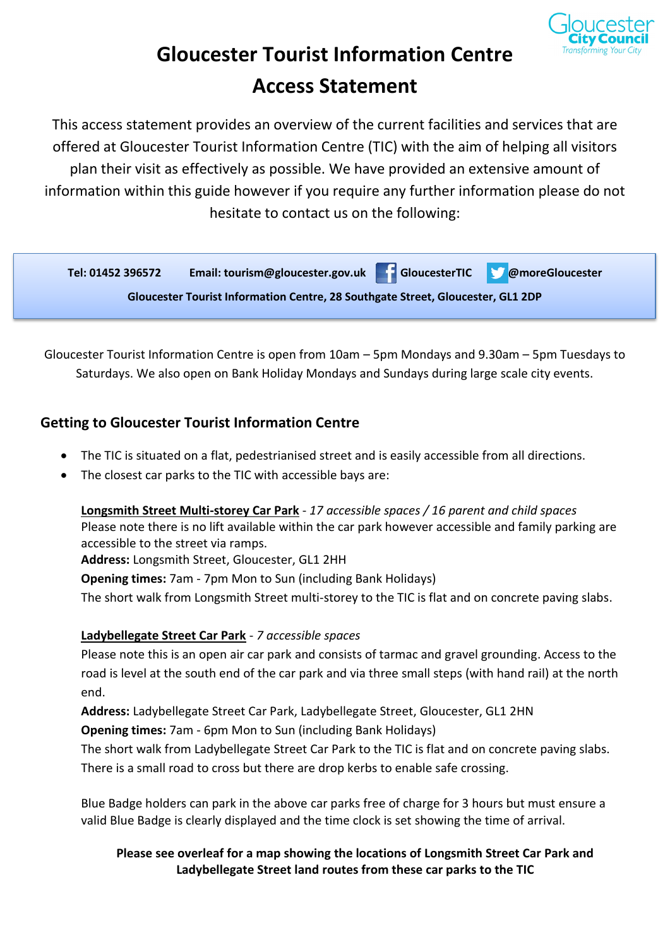

# **Gloucester Tourist Information Centre Access Statement**

This access statement provides an overview of the current facilities and services that are offered at Gloucester Tourist Information Centre (TIC) with the aim of helping all visitors plan their visit as effectively as possible. We have provided an extensive amount of information within this guide however if you require any further information please do not hesitate to contact us on the following:



Gloucester Tourist Information Centre is open from 10am – 5pm Mondays and 9.30am – 5pm Tuesdays to Saturdays. We also open on Bank Holiday Mondays and Sundays during large scale city events.

# **Getting to Gloucester Tourist Information Centre**

- The TIC is situated on a flat, pedestrianised street and is easily accessible from all directions.
- The closest car parks to the TIC with accessible bays are:

**Longsmith Street Multi-storey Car Park** - *17 accessible spaces / 16 parent and child spaces* Please note there is no lift available within the car park however accessible and family parking are accessible to the street via ramps.

**Address:** Longsmith Street, Gloucester, GL1 2HH

**Opening times:** 7am - 7pm Mon to Sun (including Bank Holidays)

The short walk from Longsmith Street multi-storey to the TIC is flat and on concrete paving slabs.

## **Ladybellegate Street Car Park** - *7 accessible spaces*

Please note this is an open air car park and consists of tarmac and gravel grounding. Access to the road is level at the south end of the car park and via three small steps (with hand rail) at the north end.

**Address:** Ladybellegate Street Car Park, Ladybellegate Street, Gloucester, GL1 2HN **Opening times:** 7am - 6pm Mon to Sun (including Bank Holidays)

The short walk from Ladybellegate Street Car Park to the TIC is flat and on concrete paving slabs. There is a small road to cross but there are drop kerbs to enable safe crossing.

Blue Badge holders can park in the above car parks free of charge for 3 hours but must ensure a valid Blue Badge is clearly displayed and the time clock is set showing the time of arrival.

#### **Please see overleaf for a map showing the locations of Longsmith Street Car Park and Ladybellegate Street land routes from these car parks to the TIC**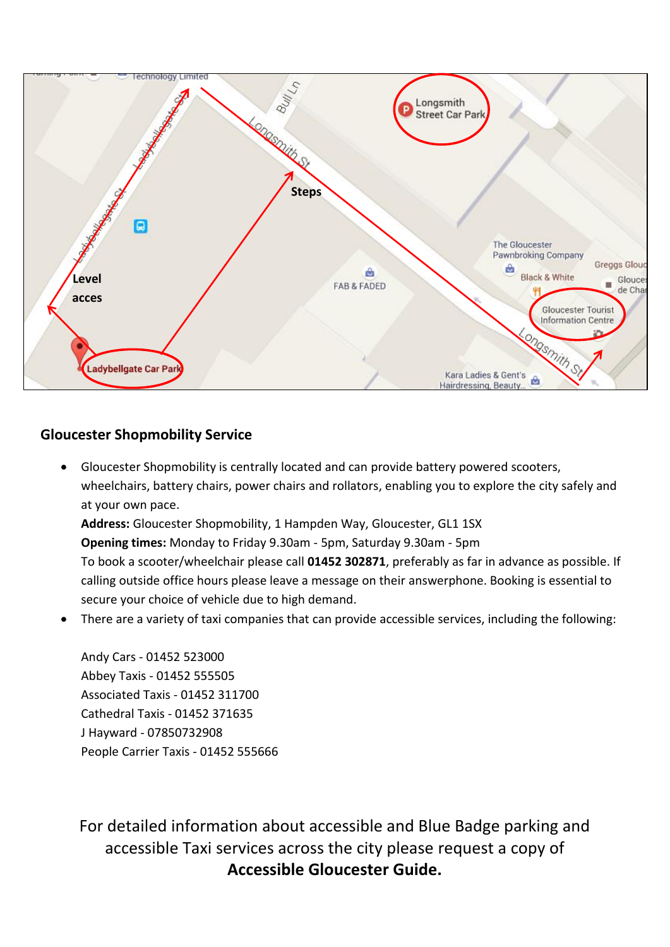

#### **Gloucester Shopmobility Service**

- Gloucester Shopmobility is centrally located and can provide battery powered scooters, wheelchairs, battery chairs, power chairs and rollators, enabling you to explore the city safely and at your own pace. **Address:** Gloucester Shopmobility, 1 Hampden Way, Gloucester, GL1 1SX **Opening times:** Monday to Friday 9.30am - 5pm, Saturday 9.30am - 5pm To book a scooter/wheelchair please call **01452 302871**, preferably as far in advance as possible. If calling outside office hours please leave a message on their answerphone. Booking is essential to
- There are a variety of taxi companies that can provide accessible services, including the following:

Andy Cars - 01452 523000 Abbey Taxis - 01452 555505 Associated Taxis - 01452 311700 Cathedral Taxis - 01452 371635 J Hayward - 07850732908 People Carrier Taxis - 01452 555666

secure your choice of vehicle due to high demand.

For detailed information about accessible and Blue Badge parking and accessible Taxi services across the city please request a copy of **Accessible Gloucester Guide.**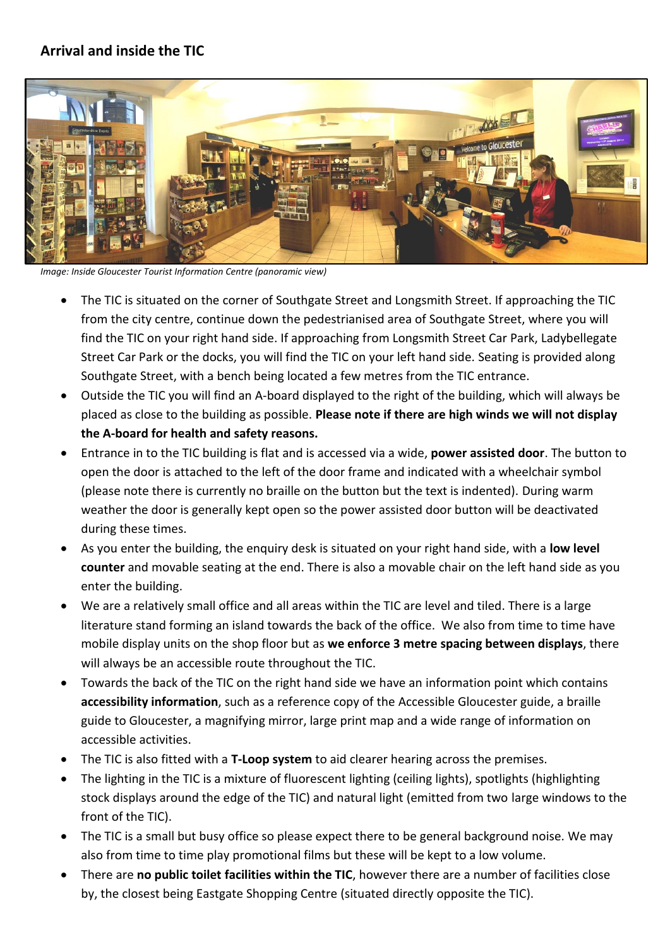# **Arrival and inside the TIC**



*Image: Inside Gloucester Tourist Information Centre (panoramic view)*

- The TIC is situated on the corner of Southgate Street and Longsmith Street. If approaching the TIC from the city centre, continue down the pedestrianised area of Southgate Street, where you will find the TIC on your right hand side. If approaching from Longsmith Street Car Park, Ladybellegate Street Car Park or the docks, you will find the TIC on your left hand side. Seating is provided along Southgate Street, with a bench being located a few metres from the TIC entrance.
- Outside the TIC you will find an A-board displayed to the right of the building, which will always be placed as close to the building as possible. **Please note if there are high winds we will not display the A-board for health and safety reasons.**
- Entrance in to the TIC building is flat and is accessed via a wide, **power assisted door**. The button to open the door is attached to the left of the door frame and indicated with a wheelchair symbol (please note there is currently no braille on the button but the text is indented). During warm weather the door is generally kept open so the power assisted door button will be deactivated during these times.
- As you enter the building, the enquiry desk is situated on your right hand side, with a **low level counter** and movable seating at the end. There is also a movable chair on the left hand side as you enter the building.
- We are a relatively small office and all areas within the TIC are level and tiled. There is a large literature stand forming an island towards the back of the office. We also from time to time have mobile display units on the shop floor but as **we enforce 3 metre spacing between displays**, there will always be an accessible route throughout the TIC.
- Towards the back of the TIC on the right hand side we have an information point which contains **accessibility information**, such as a reference copy of the Accessible Gloucester guide, a braille guide to Gloucester, a magnifying mirror, large print map and a wide range of information on accessible activities.
- The TIC is also fitted with a **T-Loop system** to aid clearer hearing across the premises.
- The lighting in the TIC is a mixture of fluorescent lighting (ceiling lights), spotlights (highlighting stock displays around the edge of the TIC) and natural light (emitted from two large windows to the front of the TIC).
- The TIC is a small but busy office so please expect there to be general background noise. We may also from time to time play promotional films but these will be kept to a low volume.
- There are **no public toilet facilities within the TIC**, however there are a number of facilities close by, the closest being Eastgate Shopping Centre (situated directly opposite the TIC).